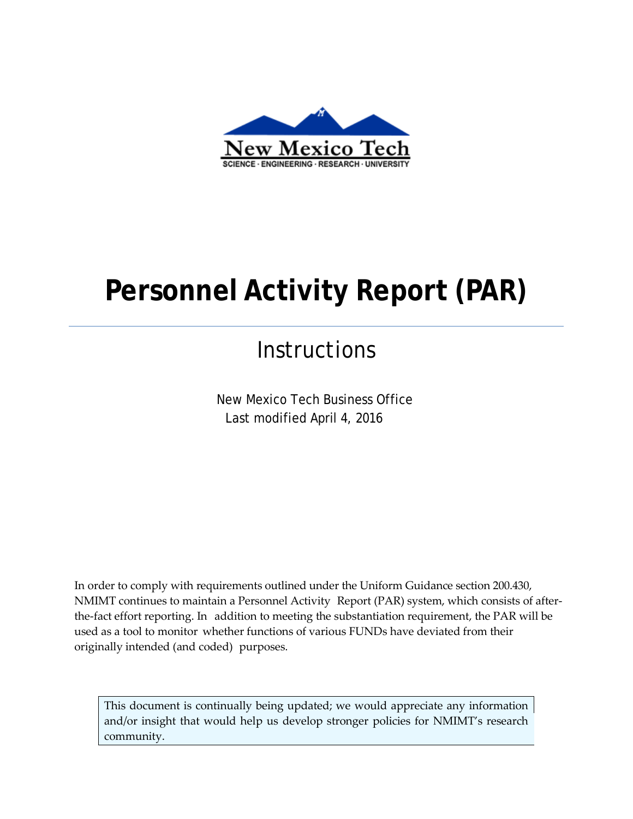

# **Personnel Activity Report (PAR)**

# **Instructions**

New Mexico Tech Business Office Last modified April 4, 2016

In order to comply with requirements outlined under the Uniform Guidance section 200.430, NMIMT continues to maintain a Personnel Activity Report (PAR) system, which consists of afterthe-fact effort reporting. In addition to meeting the substantiation requirement, the PAR will be used as a tool to monitor whether functions of various FUNDs have deviated from their originally intended (and coded) purposes.

This document is continually being updated; we would appreciate any information and/or insight that would help us develop stronger policies for NMIMT's research community.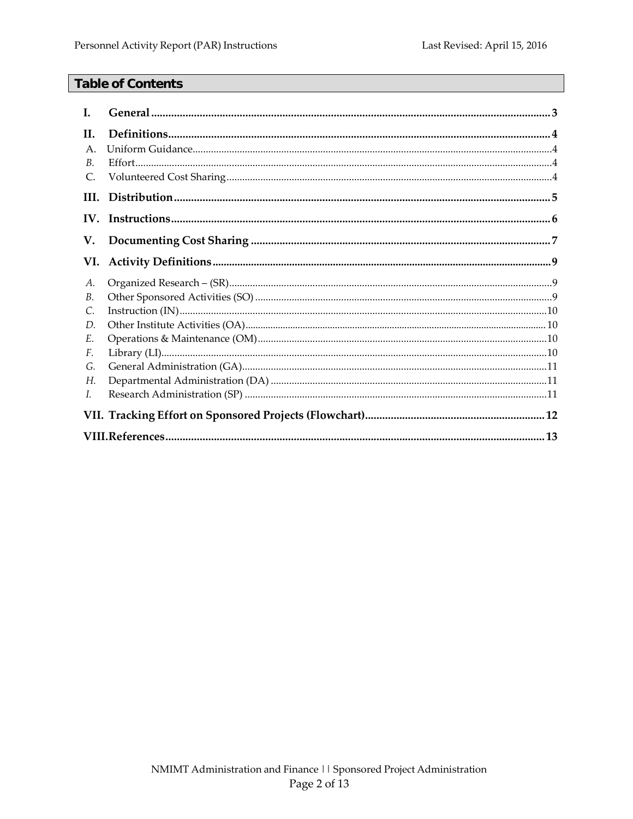# **Table of Contents**

| L.          |  |  |  |
|-------------|--|--|--|
| H.          |  |  |  |
| $A_{\cdot}$ |  |  |  |
| В.          |  |  |  |
| C.          |  |  |  |
| HI.         |  |  |  |
|             |  |  |  |
| V.          |  |  |  |
| VI.         |  |  |  |
| А.          |  |  |  |
| B.          |  |  |  |
| C.          |  |  |  |
| D.          |  |  |  |
| E.          |  |  |  |
| F.          |  |  |  |
| G.          |  |  |  |
| Н.          |  |  |  |
| L.          |  |  |  |
|             |  |  |  |
|             |  |  |  |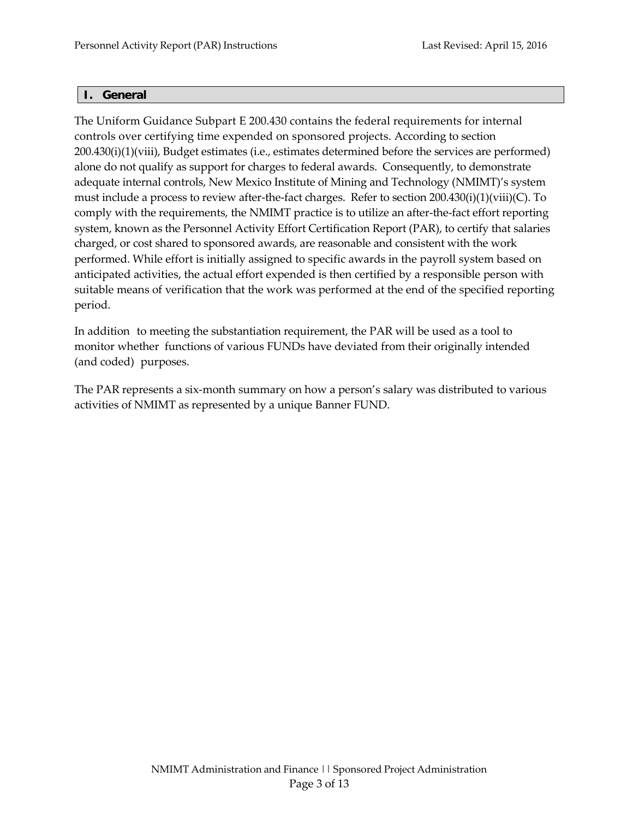#### <span id="page-2-0"></span>**I. General**

The Uniform Guidance Subpart E 200.430 contains the federal requirements for internal controls over certifying time expended on sponsored projects. According to section 200.430(i)(1)(viii), Budget estimates (i.e., estimates determined before the services are performed) alone do not qualify as support for charges to federal awards. Consequently, to demonstrate adequate internal controls, New Mexico Institute of Mining and Technology (NMIMT)'s system must include a process to review after-the-fact charges. Refer to section 200.430(i)(1)(viii)(C). To comply with the requirements, the NMIMT practice is to utilize an after-the-fact effort reporting system, known as the Personnel Activity Effort Certification Report (PAR), to certify that salaries charged, or cost shared to sponsored awards, are reasonable and consistent with the work performed. While effort is initially assigned to specific awards in the payroll system based on anticipated activities, the actual effort expended is then certified by a responsible person with suitable means of verification that the work was performed at the end of the specified reporting period.

In addition to meeting the substantiation requirement, the PAR will be used as a tool to monitor whether functions of various FUNDs have deviated from their originally intended (and coded) purposes.

The PAR represents a six-month summary on how a person's salary was distributed to various activities of NMIMT as represented by a unique Banner FUND.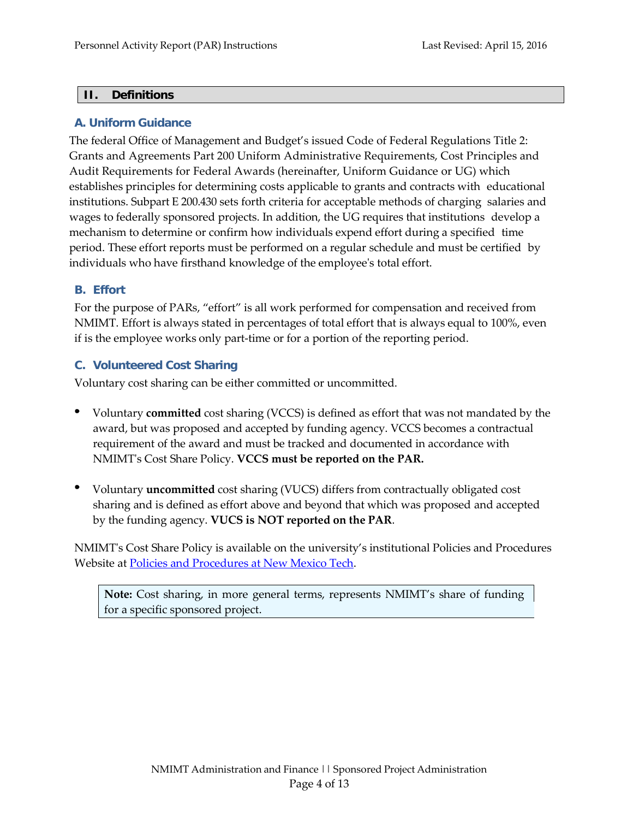#### <span id="page-3-0"></span>**II. Definitions**

#### **A. Uniform Guidance**

The federal Office of Management and Budget's issued Code of Federal Regulations Title 2: Grants and Agreements Part 200 Uniform Administrative Requirements, Cost Principles and Audit Requirements for Federal Awards (hereinafter, Uniform Guidance or UG) which establishes principles for determining costs applicable to grants and contracts with educational institutions. Subpart E 200.430 sets forth criteria for acceptable methods of charging salaries and wages to federally sponsored projects. In addition, the UG requires that institutions develop a mechanism to determine or confirm how individuals expend effort during a specified time period. These effort reports must be performed on a regular schedule and must be certified by individuals who have firsthand knowledge of the employee's total effort.

#### <span id="page-3-1"></span>**B. Effort**

For the purpose of PARs, "effort" is all work performed for compensation and received from NMIMT. Effort is always stated in percentages of total effort that is always equal to 100%, even if is the employee works only part-time or for a portion of the reporting period.

#### <span id="page-3-2"></span>**C. Volunteered Cost Sharing**

Voluntary cost sharing can be either committed or uncommitted.

- Voluntary **committed** cost sharing (VCCS) is defined as effort that was not mandated by the award, but was proposed and accepted by funding agency. VCCS becomes a contractual requirement of the award and must be tracked and documented in accordance with NMIMT's Cost Share Policy. **VCCS must be reported on the PAR.**
- Voluntary **uncommitted** cost sharing (VUCS) differs from contractually obligated cost sharing and is defined as effort above and beyond that which was proposed and accepted by the funding agency. **VUCS is NOT reported on the PAR**.

NMIMT's Cost Share Policy is available on the university's institutional Policies and Procedures Website at Policies and Procedures at New [Mexico Tech.](http://www.nmt.edu/cat-university-policies/3441-policies-and-procedures-at-new-mexico-tech)

**Note:** Cost sharing, in more general terms, represents NMIMT's share of funding for a specific sponsored project.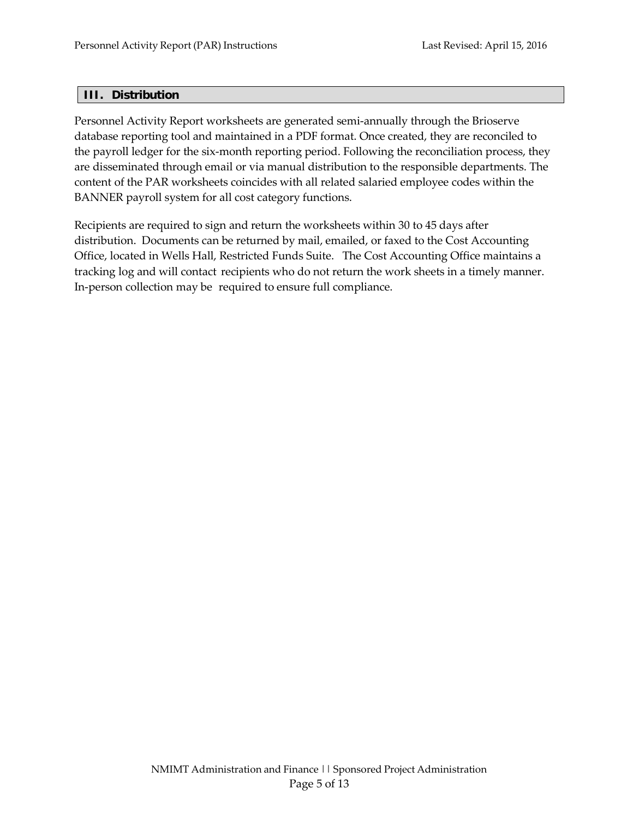#### <span id="page-4-0"></span>**III. Distribution**

Personnel Activity Report worksheets are generated semi-annually through the Brioserve database reporting tool and maintained in a PDF format. Once created, they are reconciled to the payroll ledger for the six-month reporting period. Following the reconciliation process, they are disseminated through email or via manual distribution to the responsible departments. The content of the PAR worksheets coincides with all related salaried employee codes within the BANNER payroll system for all cost category functions.

Recipients are required to sign and return the worksheets within 30 to 45 days after distribution. Documents can be returned by mail, emailed, or faxed to the Cost Accounting Office, located in Wells Hall, Restricted Funds Suite. The Cost Accounting Office maintains a tracking log and will contact recipients who do not return the work sheets in a timely manner. In-person collection may be required to ensure full compliance.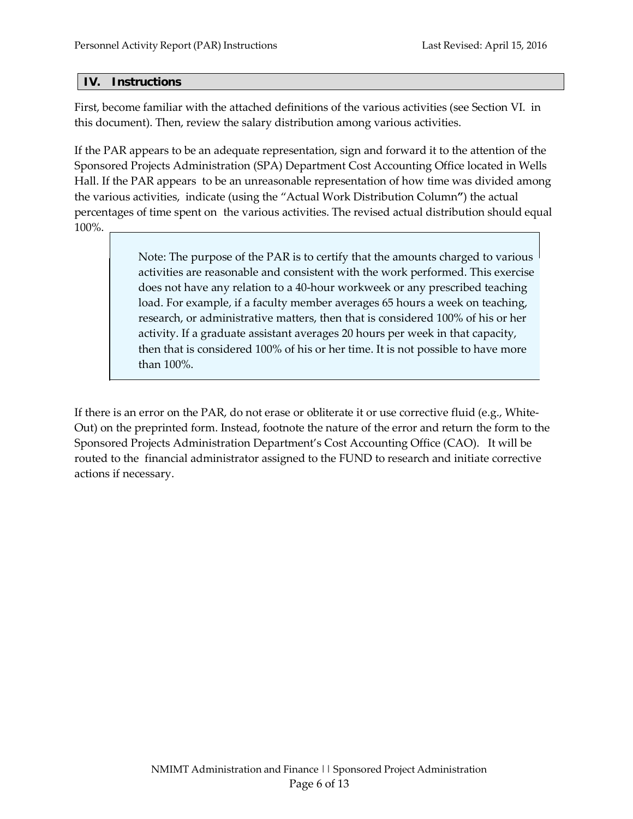#### <span id="page-5-0"></span>**IV. Instructions**

First, become familiar with the attached definitions of the various activities (see Section [VI.](#page-8-0) in this document). Then, review the salary distribution among various activities.

If the PAR appears to be an adequate representation, sign and forward it to the attention of the Sponsored Projects Administration (SPA) Department Cost Accounting Office located in Wells Hall. If the PAR appears to be an unreasonable representation of how time was divided among the various activities, indicate (using the "Actual Work Distribution Column**"**) the actual percentages of time spent on the various activities. The revised actual distribution should equal 100%.

> Note: The purpose of the PAR is to certify that the amounts charged to various activities are reasonable and consistent with the work performed. This exercise does not have any relation to a 40-hour workweek or any prescribed teaching load. For example, if a faculty member averages 65 hours a week on teaching, research, or administrative matters, then that is considered 100% of his or her activity. If a graduate assistant averages 20 hours per week in that capacity, then that is considered 100% of his or her time. It is not possible to have more than 100%.

If there is an error on the PAR, do not erase or obliterate it or use corrective fluid (e.g., White-Out) on the preprinted form. Instead, footnote the nature of the error and return the form to the Sponsored Projects Administration Department's Cost Accounting Office (CAO). It will be routed to the financial administrator assigned to the FUND to research and initiate corrective actions if necessary.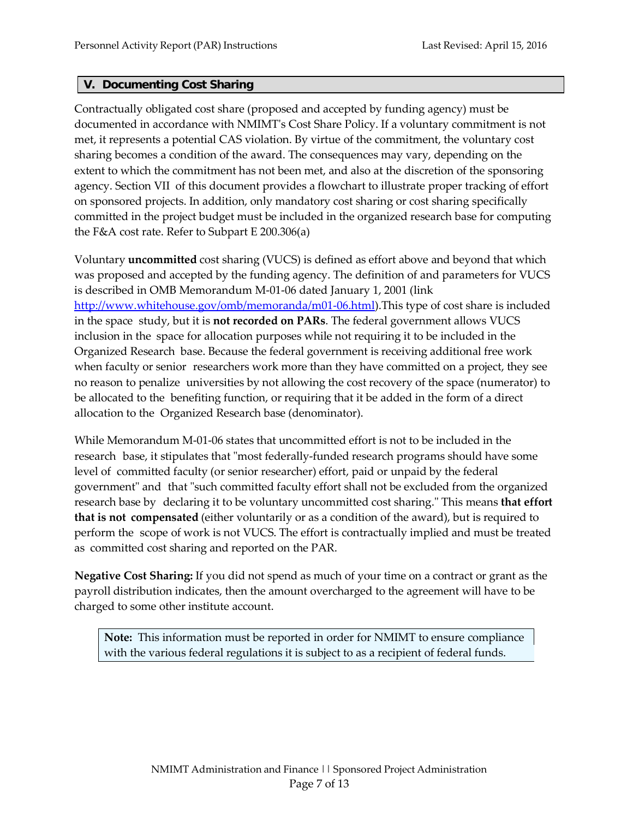#### <span id="page-6-0"></span>**V. Documenting Cost Sharing**

Contractually obligated cost share (proposed and accepted by funding agency) must be documented in accordance with NMIMT's Cost Share Policy. If a voluntary commitment is not met, it represents a potential CAS violation. By virtue of the commitment, the voluntary cost sharing becomes a condition of the award. The consequences may vary, depending on the extent to which the commitment has not been met, and also at the discretion of the sponsoring agency. Section [VII](#page-11-0) of this document provides a flowchart to illustrate proper tracking of effort on sponsored projects. In addition, only mandatory cost sharing or cost sharing specifically committed in the project budget must be included in the organized research base for computing the F&A cost rate. Refer to Subpart E 200.306(a)

Voluntary **uncommitted** cost sharing (VUCS) is defined as effort above and beyond that which was proposed and accepted by the funding agency. The definition of and parameters for VUCS is described in OMB Memorandum M-01-06 dated January 1, 2001 (link [http://www.whitehouse.gov/omb/memoranda/m01-06.html\)](http://www.whitehouse.gov/omb/memoranda/m01-06.html).This type of cost share is included in the space study, but it is **not recorded on PARs**. The federal government allows VUCS inclusion in the space for allocation purposes while not requiring it to be included in the Organized Research base. Because the federal government is receiving additional free work when faculty or senior researchers work more than they have committed on a project, they see no reason to penalize universities by not allowing the cost recovery of the space (numerator) to be allocated to the benefiting function, or requiring that it be added in the form of a direct allocation to the Organized Research base (denominator).

While Memorandum M-01-06 states that uncommitted effort is not to be included in the research base, it stipulates that "most federally-funded research programs should have some level of committed faculty (or senior researcher) effort, paid or unpaid by the federal government" and that "such committed faculty effort shall not be excluded from the organized research base by declaring it to be voluntary uncommitted cost sharing." This means **that effort that is not compensated** (either voluntarily or as a condition of the award), but is required to perform the scope of work is not VUCS. The effort is contractually implied and must be treated as committed cost sharing and reported on the PAR.

**Negative Cost Sharing:** If you did not spend as much of your time on a contract or grant as the payroll distribution indicates, then the amount overcharged to the agreement will have to be charged to some other institute account.

**Note:** This information must be reported in order for NMIMT to ensure compliance with the various federal regulations it is subject to as a recipient of federal funds.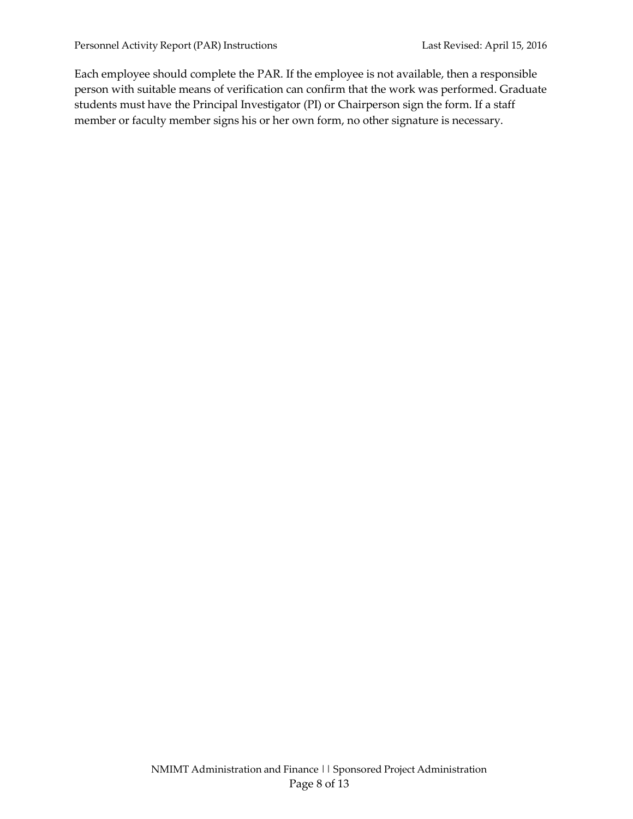Each employee should complete the PAR. If the employee is not available, then a responsible person with suitable means of verification can confirm that the work was performed. Graduate students must have the Principal Investigator (PI) or Chairperson sign the form. If a staff member or faculty member signs his or her own form, no other signature is necessary.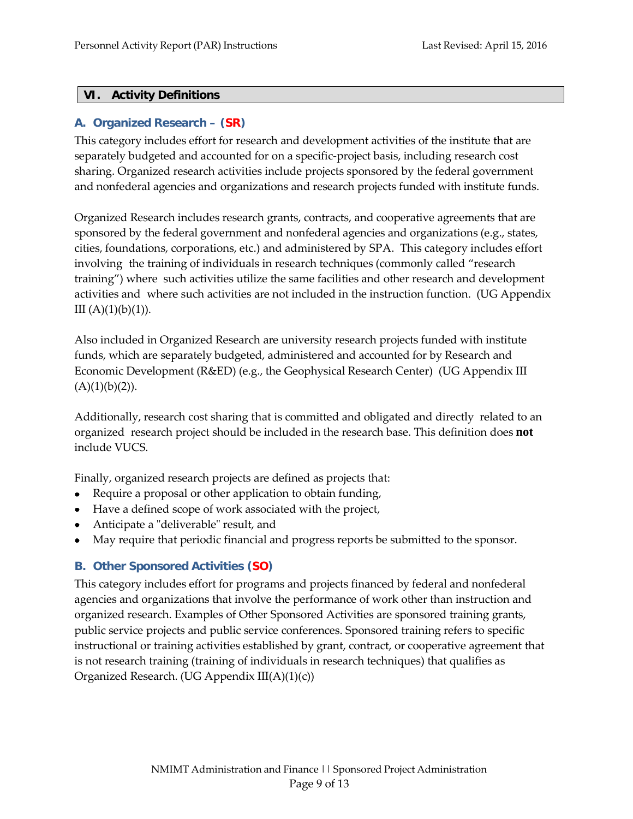#### <span id="page-8-0"></span>**VI. Activity Definitions**

# <span id="page-8-1"></span>**A. Organized Research – (SR)**

This category includes effort for research and development activities of the institute that are separately budgeted and accounted for on a specific-project basis, including research cost sharing. Organized research activities include projects sponsored by the federal government and nonfederal agencies and organizations and research projects funded with institute funds.

Organized Research includes research grants, contracts, and cooperative agreements that are sponsored by the federal government and nonfederal agencies and organizations (e.g., states, cities, foundations, corporations, etc.) and administered by SPA. This category includes effort involving the training of individuals in research techniques (commonly called "research training") where such activities utilize the same facilities and other research and development activities and where such activities are not included in the instruction function. (UG Appendix III  $(A)(1)(b)(1)$ .

Also included in Organized Research are university research projects funded with institute funds, which are separately budgeted, administered and accounted for by Research and Economic Development (R&ED) (e.g., the Geophysical Research Center) (UG Appendix III  $(A)(1)(b)(2)$ ).

Additionally, research cost sharing that is committed and obligated and directly related to an organized research project should be included in the research base. This definition does **not** include VUCS.

Finally, organized research projects are defined as projects that:

- Require a proposal or other application to obtain funding,
- Have a defined scope of work associated with the project,
- Anticipate a "deliverable" result, and
- May require that periodic financial and progress reports be submitted to the sponsor.

# <span id="page-8-2"></span>**B. Other Sponsored Activities (SO)**

This category includes effort for programs and projects financed by federal and nonfederal agencies and organizations that involve the performance of work other than instruction and organized research. Examples of Other Sponsored Activities are sponsored training grants, public service projects and public service conferences. Sponsored training refers to specific instructional or training activities established by grant, contract, or cooperative agreement that is not research training (training of individuals in research techniques) that qualifies as Organized Research. (UG Appendix III(A)(1)(c))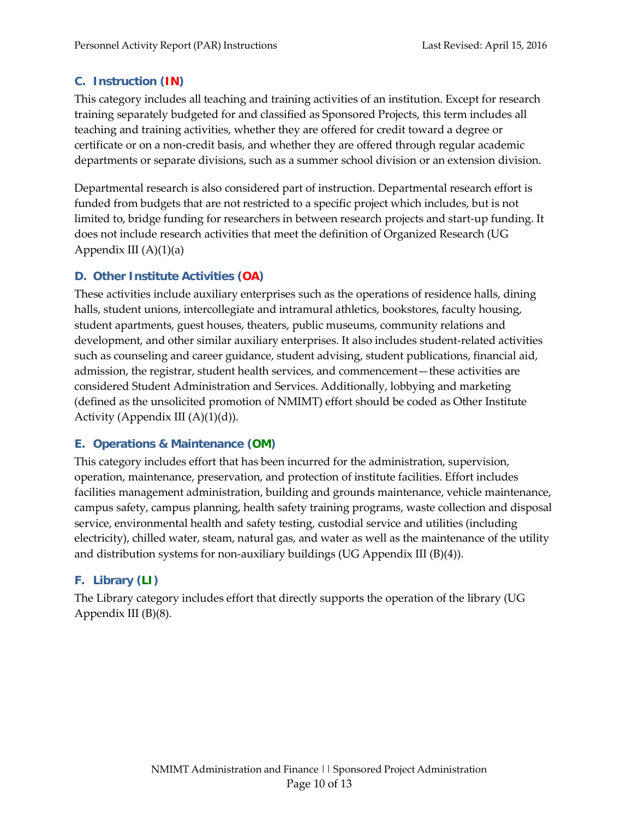# <span id="page-9-0"></span>**C. Instruction (IN)**

This category includes all teaching and training activities of an institution. Except for research training separately budgeted for and classified as Sponsored Projects, this term includes all teaching and training activities, whether they are offered for credit toward a degree or certificate or on a non-credit basis, and whether they are offered through regular academic departments or separate divisions, such as a summer school division or an extension division.

Departmental research is also considered part of instruction. Departmental research effort is funded from budgets that are not restricted to a specific project which includes, but is not limited to, bridge funding for researchers in between research projects and start-up funding. It does not include research activities that meet the definition of Organized Research (UG Appendix III  $(A)(1)(a)$ 

# <span id="page-9-1"></span>**D. Other Institute Activities (OA)**

These activities include auxiliary enterprises such as the operations of residence halls, dining halls, student unions, intercollegiate and intramural athletics, bookstores, faculty housing, student apartments, guest houses, theaters, public museums, community relations and development, and other similar auxiliary enterprises. It also includes student-related activities such as counseling and career guidance, student advising, student publications, financial aid, admission, the registrar, student health services, and commencement—these activities are considered Student Administration and Services. Additionally, lobbying and marketing (defined as the unsolicited promotion of NMIMT) effort should be coded as Other Institute Activity (Appendix III  $(A)(1)(d)$ ).

# <span id="page-9-2"></span>**E. Operations & Maintenance (OM)**

This category includes effort that has been incurred for the administration, supervision, operation, maintenance, preservation, and protection of institute facilities. Effort includes facilities management administration, building and grounds maintenance, vehicle maintenance, campus safety, campus planning, health safety training programs, waste collection and disposal service, environmental health and safety testing, custodial service and utilities (including electricity), chilled water, steam, natural gas, and water as well as the maintenance of the utility and distribution systems for non-auxiliary buildings (UG Appendix III  $(B)(4)$ ).

# <span id="page-9-3"></span>**F. Library (LI)**

The Library category includes effort that directly supports the operation of the library (UG Appendix III (B)(8).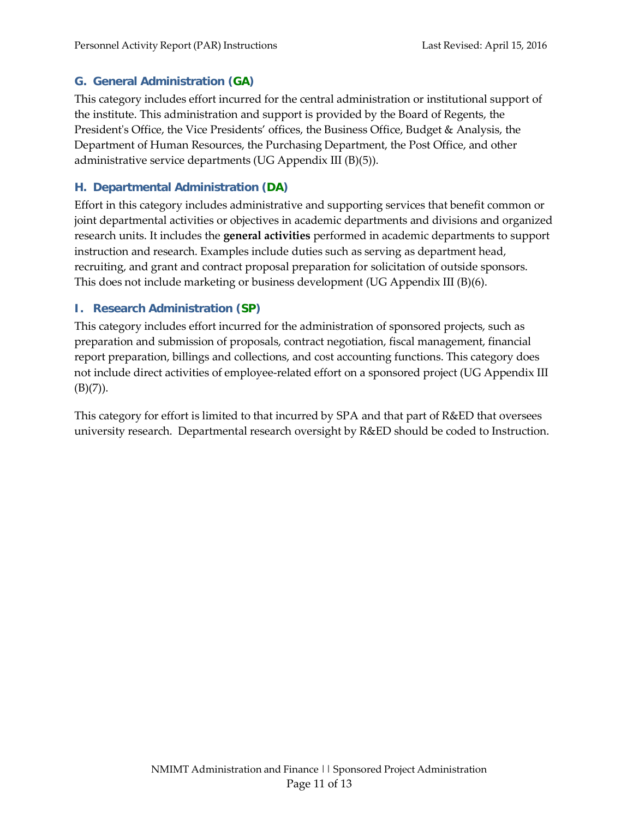#### <span id="page-10-0"></span>**G. General Administration (GA)**

This category includes effort incurred for the central administration or institutional support of the institute. This administration and support is provided by the Board of Regents, the President's Office, the Vice Presidents' offices, the Business Office, Budget & Analysis, the Department of Human Resources, the Purchasing Department, the Post Office, and other administrative service departments (UG Appendix III (B)(5)).

#### <span id="page-10-1"></span>**H. Departmental Administration (DA)**

Effort in this category includes administrative and supporting services that benefit common or joint departmental activities or objectives in academic departments and divisions and organized research units. It includes the **general activities** performed in academic departments to support instruction and research. Examples include duties such as serving as department head, recruiting, and grant and contract proposal preparation for solicitation of outside sponsors. This does not include marketing or business development (UG Appendix III (B)(6).

# <span id="page-10-2"></span>**I. Research Administration (SP)**

This category includes effort incurred for the administration of sponsored projects, such as preparation and submission of proposals, contract negotiation, fiscal management, financial report preparation, billings and collections, and cost accounting functions. This category does not include direct activities of employee-related effort on a sponsored project (UG Appendix III  $(B)(7)$ ).

This category for effort is limited to that incurred by SPA and that part of R&ED that oversees university research. Departmental research oversight by R&ED should be coded to Instruction.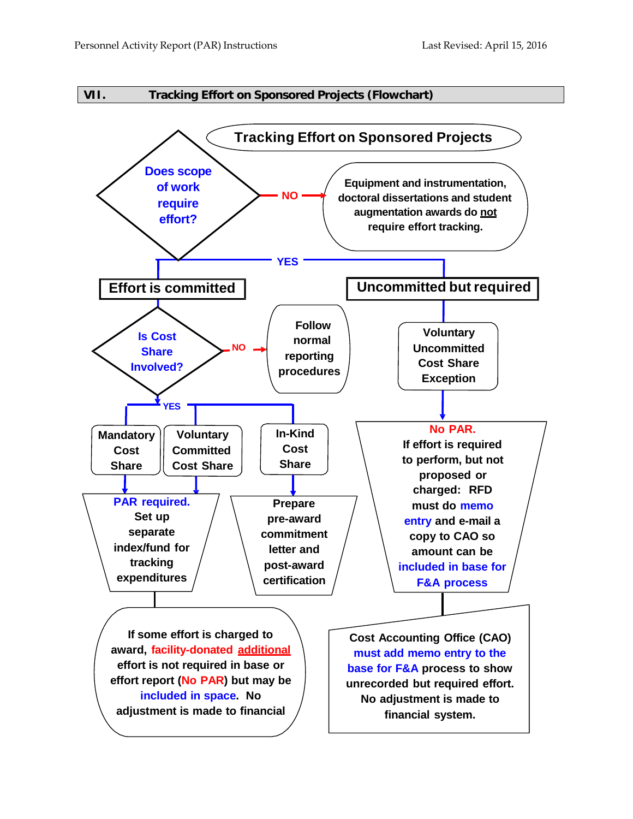<span id="page-11-0"></span>